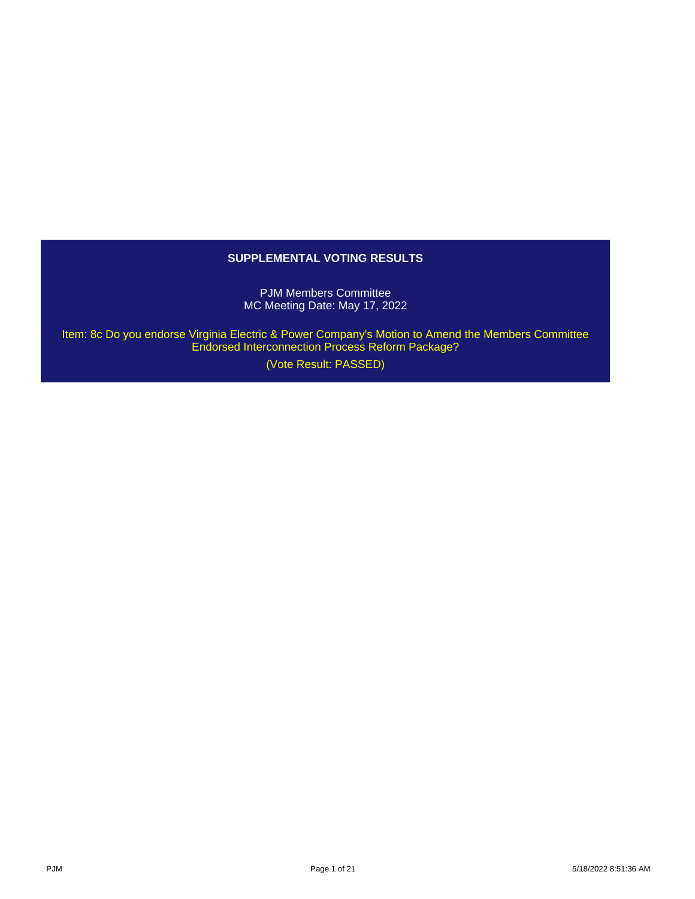# **SUPPLEMENTAL VOTING RESULTS**

PJM Members Committee MC Meeting Date: May 17, 2022

 Item: 8c Do you endorse Virginia Electric & Power Company's Motion to Amend the Members Committee Endorsed Interconnection Process Reform Package?

(Vote Result: PASSED)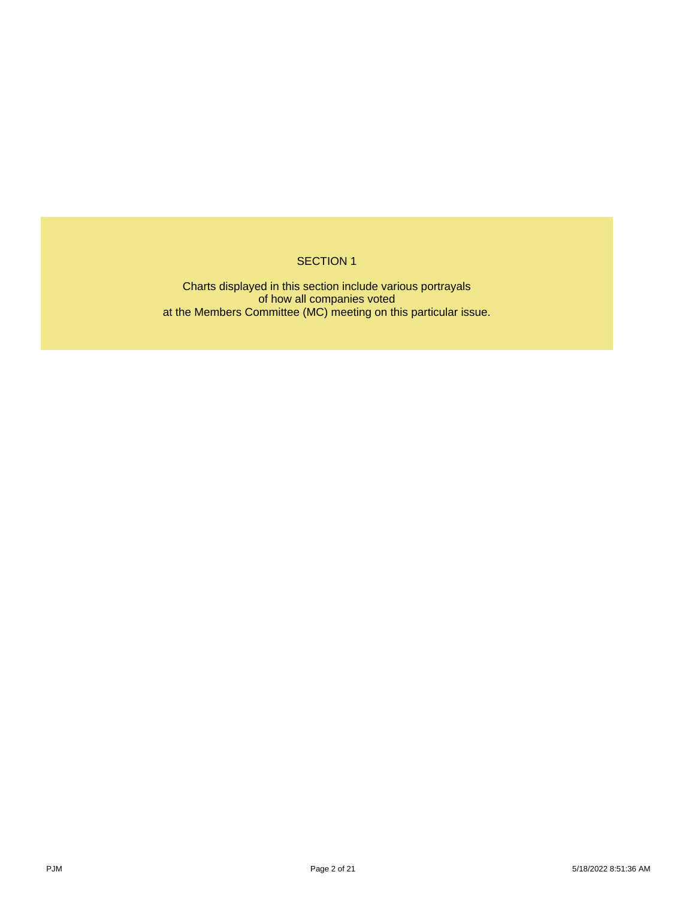## SECTION 1

Charts displayed in this section include various portrayals of how all companies voted at the Members Committee (MC) meeting on this particular issue.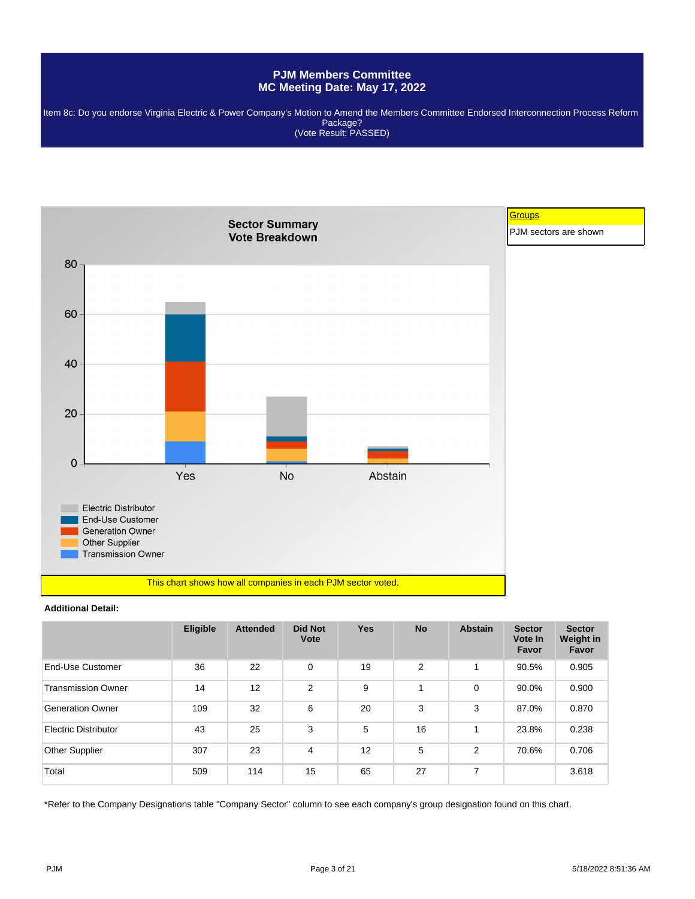Item 8c: Do you endorse Virginia Electric & Power Company's Motion to Amend the Members Committee Endorsed Interconnection Process Reform Package? (Vote Result: PASSED)



#### **Additional Detail:**

|                           | <b>Eligible</b> | <b>Attended</b> | <b>Did Not</b><br>Vote | <b>Yes</b> | <b>No</b>      | <b>Abstain</b> | <b>Sector</b><br>Vote In<br>Favor | <b>Sector</b><br>Weight in<br>Favor |
|---------------------------|-----------------|-----------------|------------------------|------------|----------------|----------------|-----------------------------------|-------------------------------------|
| End-Use Customer          | 36              | 22              | 0                      | 19         | $\overline{2}$ | 1              | 90.5%                             | 0.905                               |
| <b>Transmission Owner</b> | 14              | 12              | $\overline{2}$         | 9          |                | 0              | 90.0%                             | 0.900                               |
| <b>Generation Owner</b>   | 109             | 32              | 6                      | 20         | 3              | 3              | 87.0%                             | 0.870                               |
| Electric Distributor      | 43              | 25              | 3                      | 5          | 16             | 1              | 23.8%                             | 0.238                               |
| Other Supplier            | 307             | 23              | 4                      | 12         | 5              | 2              | 70.6%                             | 0.706                               |
| Total                     | 509             | 114             | 15                     | 65         | 27             | 7              |                                   | 3.618                               |

\*Refer to the Company Designations table "Company Sector" column to see each company's group designation found on this chart.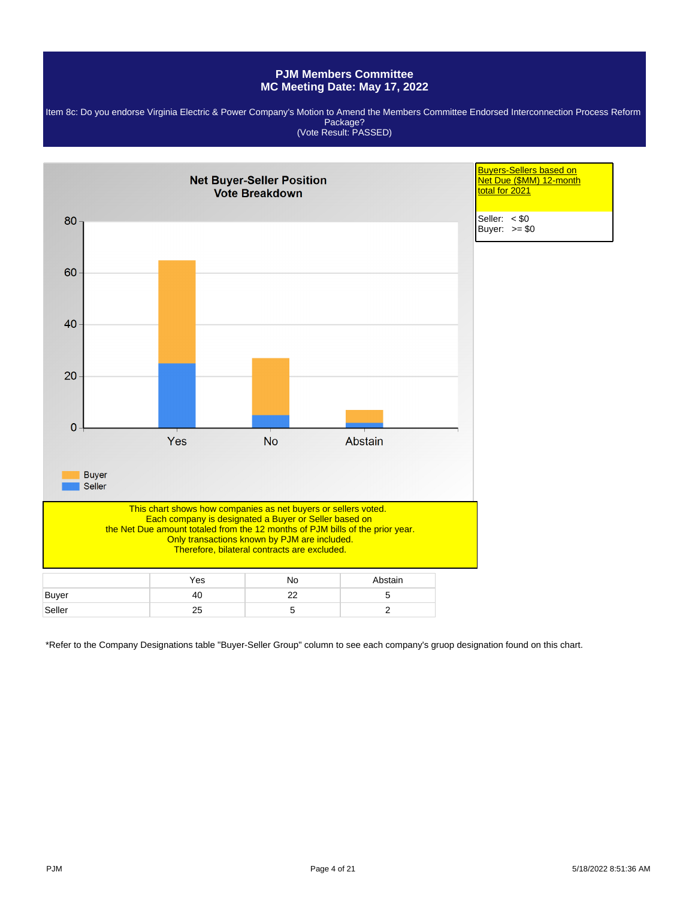Item 8c: Do you endorse Virginia Electric & Power Company's Motion to Amend the Members Committee Endorsed Interconnection Process Reform Package? (Vote Result: PASSED)



\*Refer to the Company Designations table "Buyer-Seller Group" column to see each company's gruop designation found on this chart.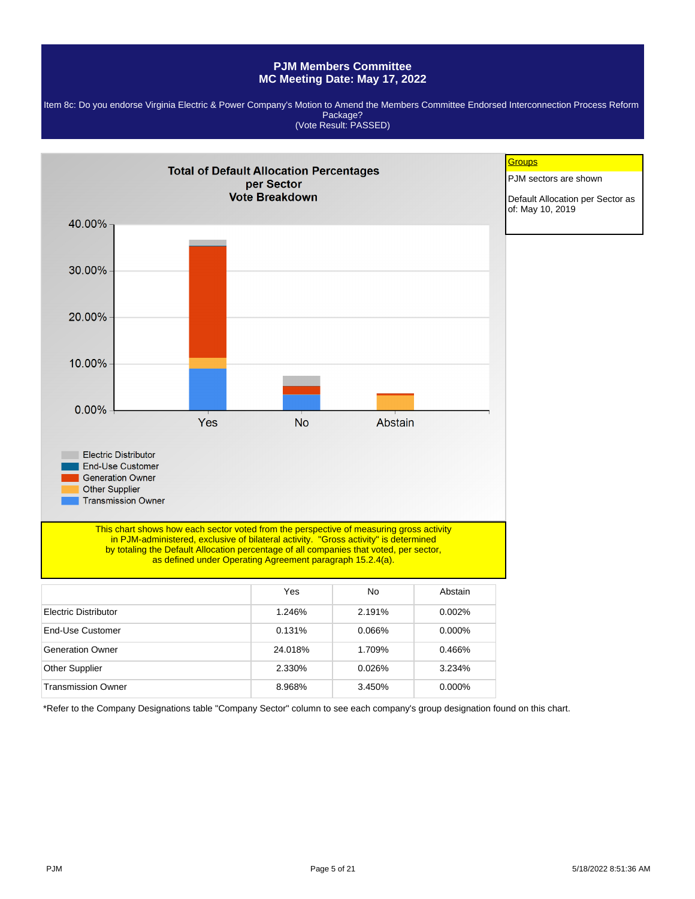Item 8c: Do you endorse Virginia Electric & Power Company's Motion to Amend the Members Committee Endorsed Interconnection Process Reform Package? (Vote Result: PASSED)



\*Refer to the Company Designations table "Company Sector" column to see each company's group designation found on this chart.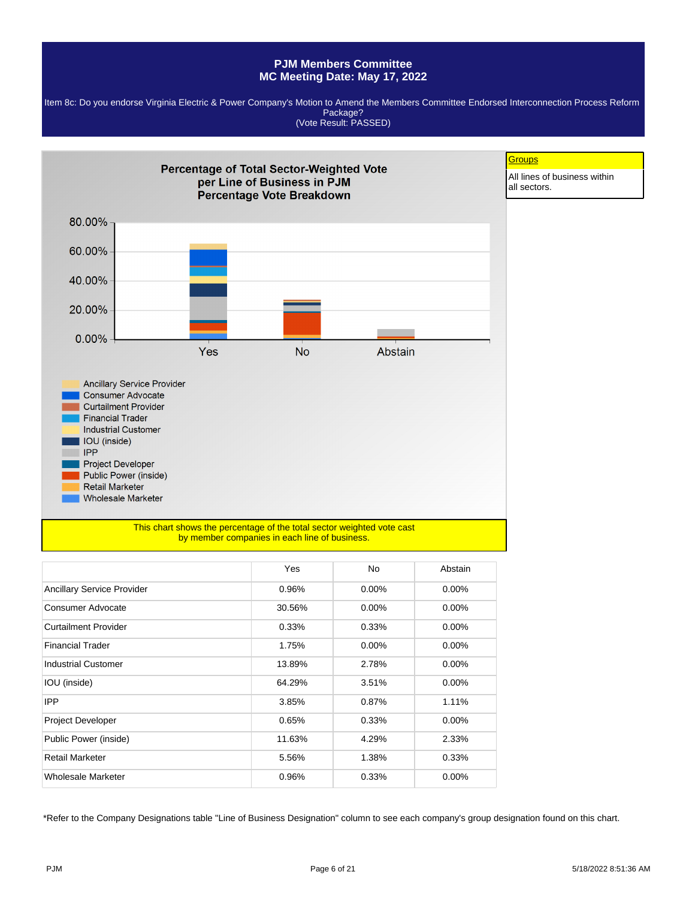Item 8c: Do you endorse Virginia Electric & Power Company's Motion to Amend the Members Committee Endorsed Interconnection Process Reform Package? (Vote Result: PASSED)



|                                   | Yes    | No       | Abstain  |
|-----------------------------------|--------|----------|----------|
| <b>Ancillary Service Provider</b> | 0.96%  | $0.00\%$ | $0.00\%$ |
| Consumer Advocate                 | 30.56% | $0.00\%$ | $0.00\%$ |
| Curtailment Provider              | 0.33%  | 0.33%    | $0.00\%$ |
| <b>Financial Trader</b>           | 1.75%  | $0.00\%$ | $0.00\%$ |
| <b>Industrial Customer</b>        | 13.89% | 2.78%    | 0.00%    |
| IOU (inside)                      | 64.29% | 3.51%    | $0.00\%$ |
| <b>IPP</b>                        | 3.85%  | 0.87%    | 1.11%    |
| Project Developer                 | 0.65%  | 0.33%    | $0.00\%$ |
| Public Power (inside)             | 11.63% | 4.29%    | 2.33%    |
| <b>Retail Marketer</b>            | 5.56%  | 1.38%    | 0.33%    |
| Wholesale Marketer                | 0.96%  | 0.33%    | $0.00\%$ |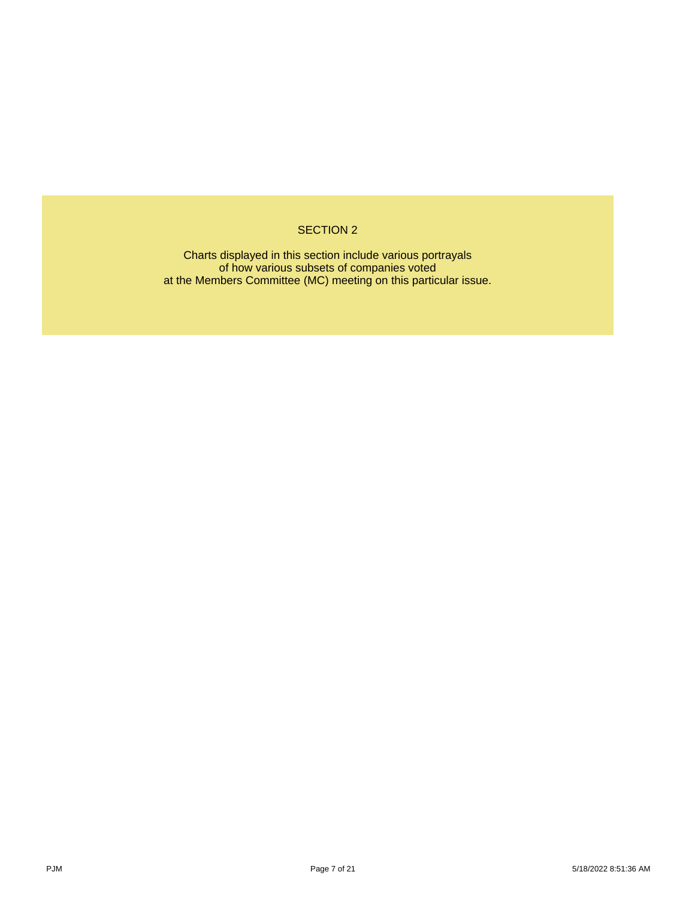# SECTION 2

Charts displayed in this section include various portrayals of how various subsets of companies voted at the Members Committee (MC) meeting on this particular issue.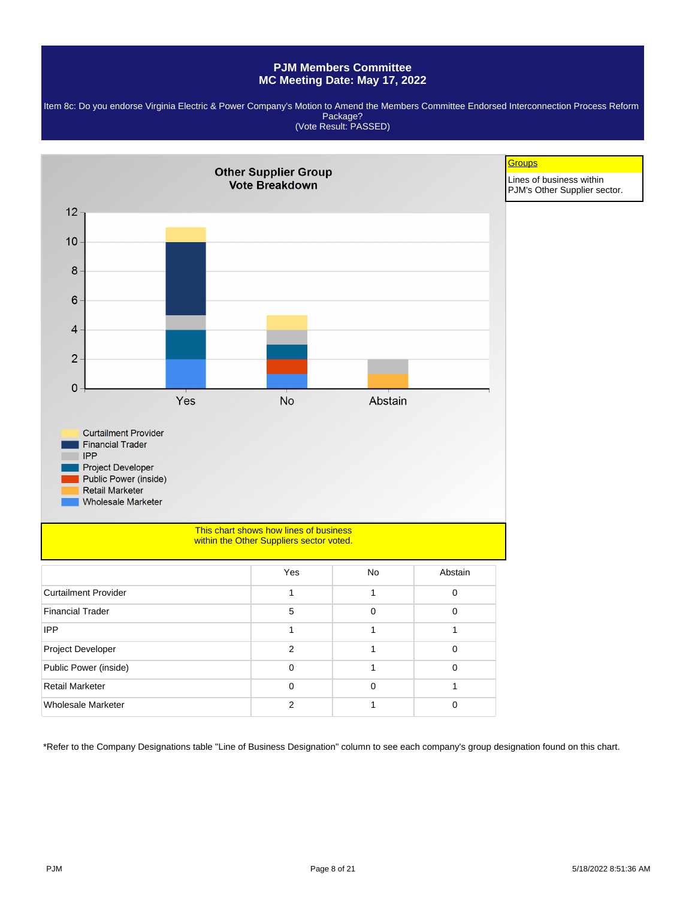Item 8c: Do you endorse Virginia Electric & Power Company's Motion to Amend the Members Committee Endorsed Interconnection Process Reform Package? (Vote Result: PASSED)

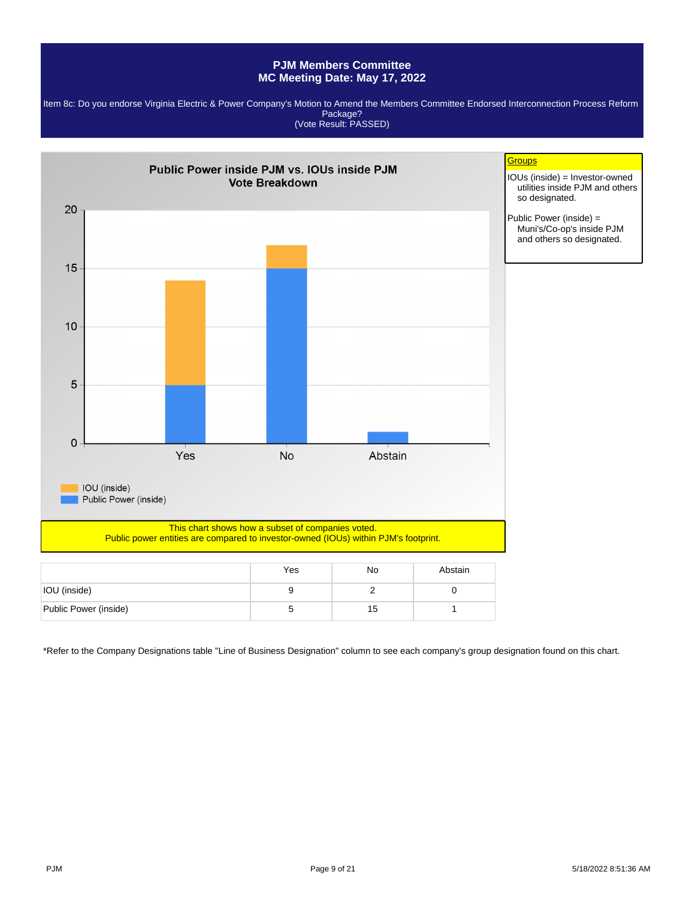Item 8c: Do you endorse Virginia Electric & Power Company's Motion to Amend the Members Committee Endorsed Interconnection Process Reform Package? (Vote Result: PASSED)



|                       | Yes | No | Abstain |
|-----------------------|-----|----|---------|
| IOU (inside)          |     |    |         |
| Public Power (inside) |     | 15 |         |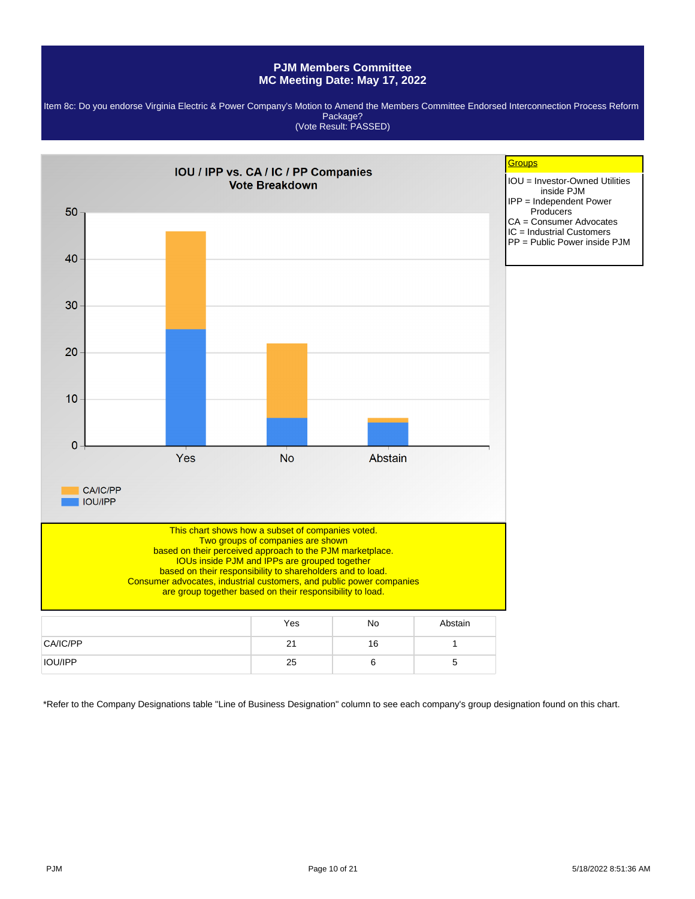Item 8c: Do you endorse Virginia Electric & Power Company's Motion to Amend the Members Committee Endorsed Interconnection Process Reform Package? (Vote Result: PASSED)

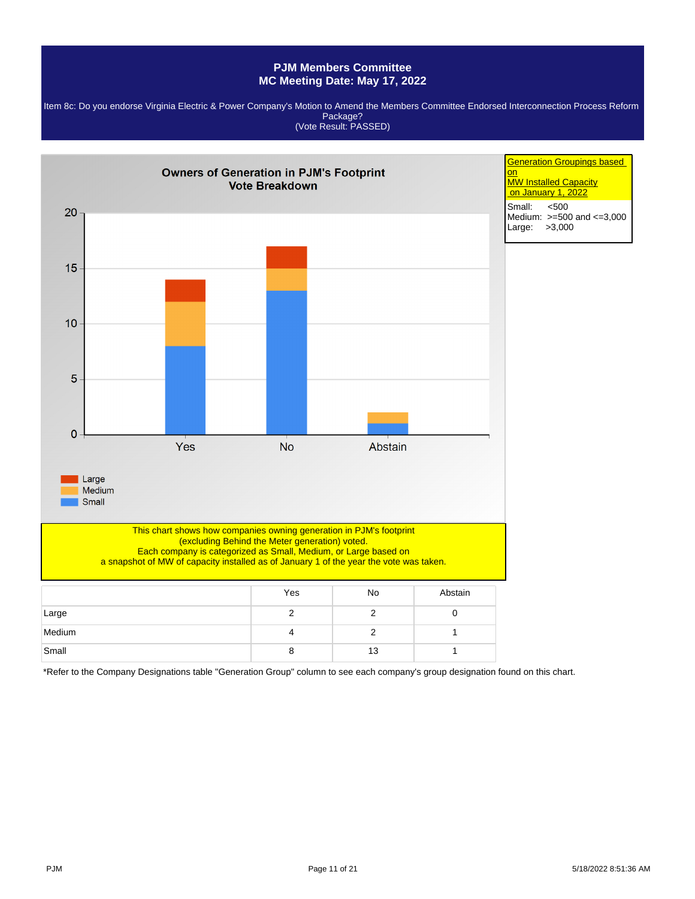

Item 8c: Do you endorse Virginia Electric & Power Company's Motion to Amend the Members Committee Endorsed Interconnection Process Reform Package? (Vote Result: PASSED)

\*Refer to the Company Designations table "Generation Group" column to see each company's group designation found on this chart.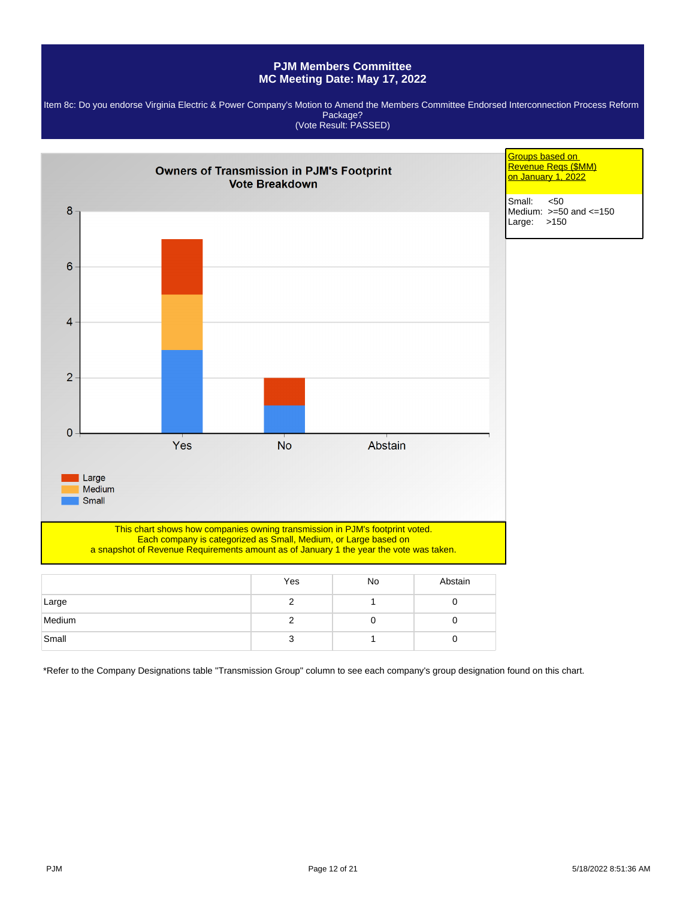

|        | Yes | <b>NO</b> | Abstain |
|--------|-----|-----------|---------|
| Large  |     |           |         |
| Medium |     |           |         |
| Small  |     |           |         |

\*Refer to the Company Designations table "Transmission Group" column to see each company's group designation found on this chart.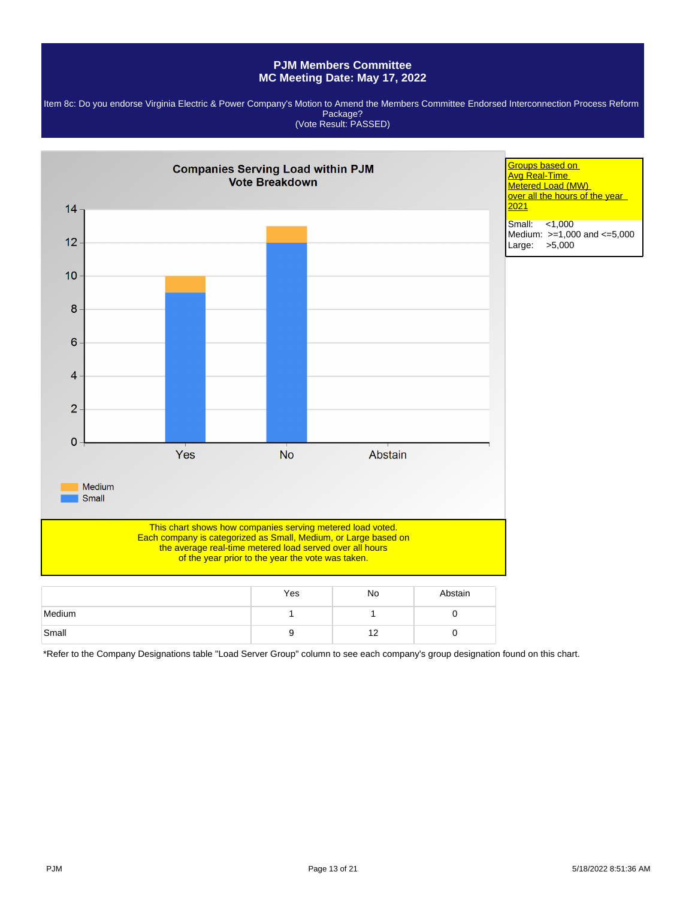Item 8c: Do you endorse Virginia Electric & Power Company's Motion to Amend the Members Committee Endorsed Interconnection Process Reform Package? (Vote Result: PASSED)



\*Refer to the Company Designations table "Load Server Group" column to see each company's group designation found on this chart.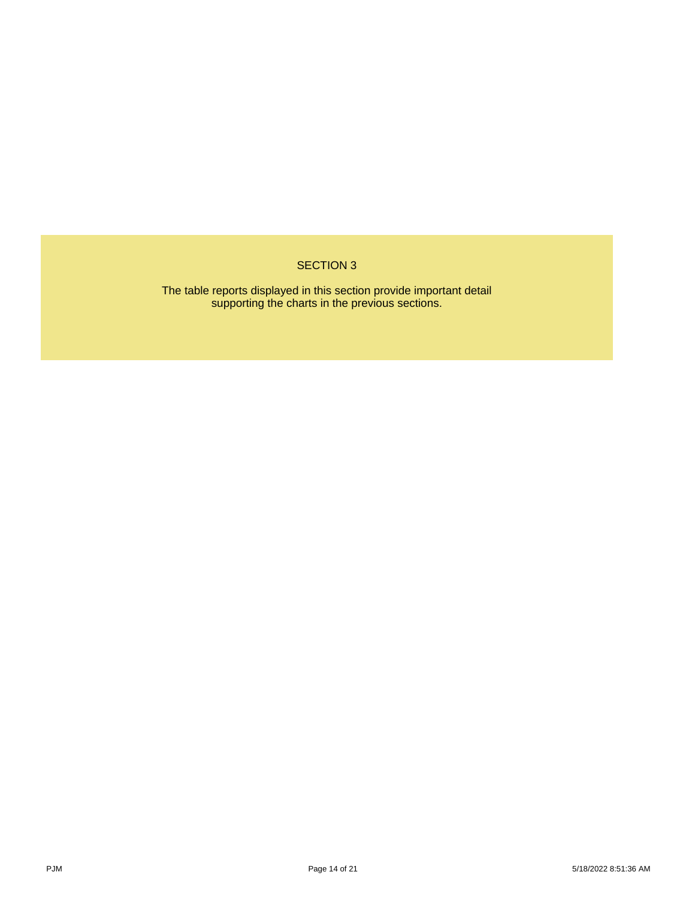# SECTION 3

The table reports displayed in this section provide important detail supporting the charts in the previous sections.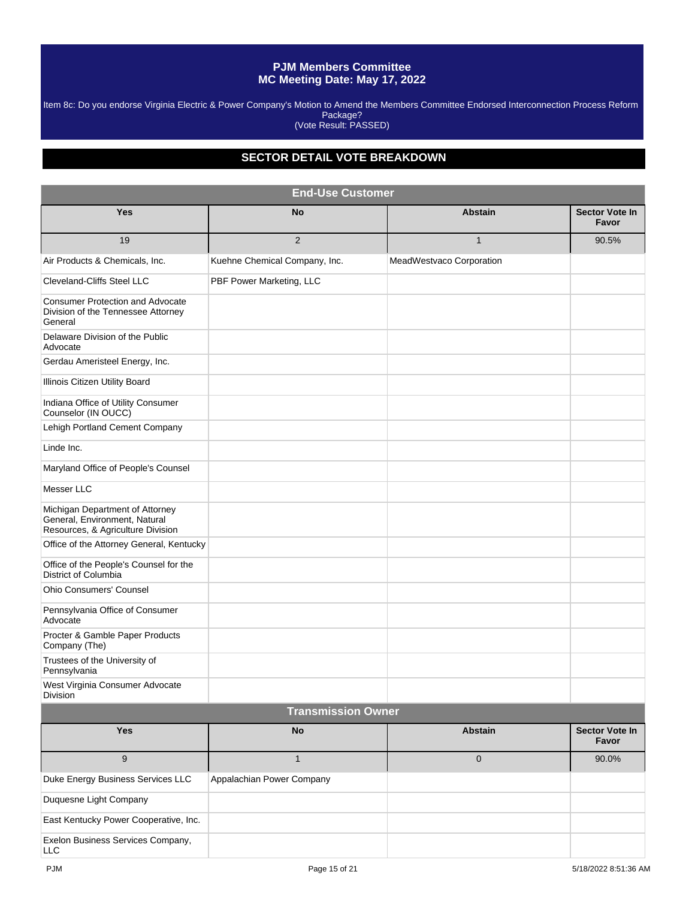Item 8c: Do you endorse Virginia Electric & Power Company's Motion to Amend the Members Committee Endorsed Interconnection Process Reform Package? (Vote Result: PASSED)

# **SECTOR DETAIL VOTE BREAKDOWN**

| <b>End-Use Customer</b>                                                                               |                               |                          |                                |  |  |  |  |
|-------------------------------------------------------------------------------------------------------|-------------------------------|--------------------------|--------------------------------|--|--|--|--|
| <b>Yes</b>                                                                                            | No                            | <b>Abstain</b>           | <b>Sector Vote In</b><br>Favor |  |  |  |  |
| 19                                                                                                    | 2                             | $\mathbf{1}$             | 90.5%                          |  |  |  |  |
| Air Products & Chemicals, Inc.                                                                        | Kuehne Chemical Company, Inc. | MeadWestvaco Corporation |                                |  |  |  |  |
| <b>Cleveland-Cliffs Steel LLC</b>                                                                     | PBF Power Marketing, LLC      |                          |                                |  |  |  |  |
| <b>Consumer Protection and Advocate</b><br>Division of the Tennessee Attorney<br>General              |                               |                          |                                |  |  |  |  |
| Delaware Division of the Public<br>Advocate                                                           |                               |                          |                                |  |  |  |  |
| Gerdau Ameristeel Energy, Inc.                                                                        |                               |                          |                                |  |  |  |  |
| Illinois Citizen Utility Board                                                                        |                               |                          |                                |  |  |  |  |
| Indiana Office of Utility Consumer<br>Counselor (IN OUCC)                                             |                               |                          |                                |  |  |  |  |
| Lehigh Portland Cement Company                                                                        |                               |                          |                                |  |  |  |  |
| Linde Inc.                                                                                            |                               |                          |                                |  |  |  |  |
| Maryland Office of People's Counsel                                                                   |                               |                          |                                |  |  |  |  |
| Messer LLC                                                                                            |                               |                          |                                |  |  |  |  |
| Michigan Department of Attorney<br>General, Environment, Natural<br>Resources, & Agriculture Division |                               |                          |                                |  |  |  |  |
| Office of the Attorney General, Kentucky                                                              |                               |                          |                                |  |  |  |  |
| Office of the People's Counsel for the<br><b>District of Columbia</b>                                 |                               |                          |                                |  |  |  |  |
| <b>Ohio Consumers' Counsel</b>                                                                        |                               |                          |                                |  |  |  |  |
| Pennsylvania Office of Consumer<br>Advocate                                                           |                               |                          |                                |  |  |  |  |
| Procter & Gamble Paper Products<br>Company (The)                                                      |                               |                          |                                |  |  |  |  |
| Trustees of the University of<br>Pennsylvania                                                         |                               |                          |                                |  |  |  |  |
| West Virginia Consumer Advocate<br>Division                                                           |                               |                          |                                |  |  |  |  |
|                                                                                                       | <b>Transmission Owner</b>     |                          |                                |  |  |  |  |
| <b>Yes</b>                                                                                            | <b>No</b>                     | <b>Abstain</b>           | Sector Vote In<br>Favor        |  |  |  |  |
| $9\,$                                                                                                 | $\mathbf{1}$                  | 0                        | 90.0%                          |  |  |  |  |
| Duke Energy Business Services LLC                                                                     | Appalachian Power Company     |                          |                                |  |  |  |  |
| Duquesne Light Company                                                                                |                               |                          |                                |  |  |  |  |
| East Kentucky Power Cooperative, Inc.                                                                 |                               |                          |                                |  |  |  |  |
| Exelon Business Services Company,<br>LLC                                                              |                               |                          |                                |  |  |  |  |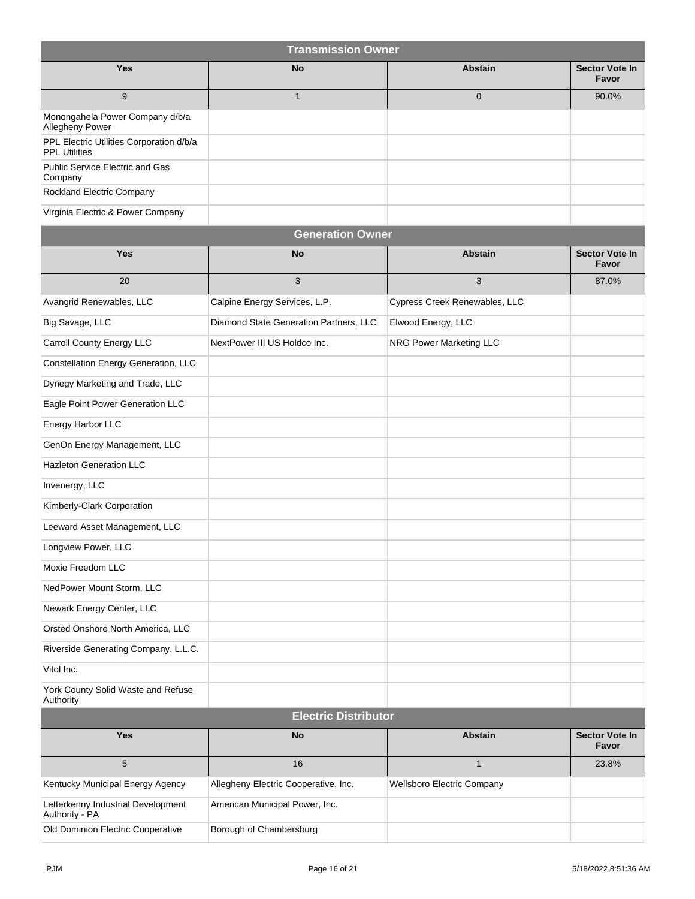| <b>Transmission Owner</b>                                        |                                        |                                |                                |  |  |  |  |
|------------------------------------------------------------------|----------------------------------------|--------------------------------|--------------------------------|--|--|--|--|
| <b>Yes</b>                                                       | <b>No</b>                              | <b>Abstain</b>                 | Sector Vote In<br>Favor        |  |  |  |  |
| 9                                                                | $\mathbf{1}$                           | $\mathbf 0$                    | 90.0%                          |  |  |  |  |
| Monongahela Power Company d/b/a<br>Allegheny Power               |                                        |                                |                                |  |  |  |  |
| PPL Electric Utilities Corporation d/b/a<br><b>PPL Utilities</b> |                                        |                                |                                |  |  |  |  |
| Public Service Electric and Gas<br>Company                       |                                        |                                |                                |  |  |  |  |
| Rockland Electric Company                                        |                                        |                                |                                |  |  |  |  |
| Virginia Electric & Power Company                                |                                        |                                |                                |  |  |  |  |
|                                                                  | <b>Generation Owner</b>                |                                |                                |  |  |  |  |
| Yes                                                              | <b>No</b>                              | <b>Abstain</b>                 | <b>Sector Vote In</b><br>Favor |  |  |  |  |
| 20                                                               | 3                                      | 3                              | 87.0%                          |  |  |  |  |
| Avangrid Renewables, LLC                                         | Calpine Energy Services, L.P.          | Cypress Creek Renewables, LLC  |                                |  |  |  |  |
| Big Savage, LLC                                                  | Diamond State Generation Partners, LLC | Elwood Energy, LLC             |                                |  |  |  |  |
| Carroll County Energy LLC                                        | NextPower III US Holdco Inc.           | <b>NRG Power Marketing LLC</b> |                                |  |  |  |  |
| Constellation Energy Generation, LLC                             |                                        |                                |                                |  |  |  |  |
| Dynegy Marketing and Trade, LLC                                  |                                        |                                |                                |  |  |  |  |
| Eagle Point Power Generation LLC                                 |                                        |                                |                                |  |  |  |  |
| Energy Harbor LLC                                                |                                        |                                |                                |  |  |  |  |
| GenOn Energy Management, LLC                                     |                                        |                                |                                |  |  |  |  |
| <b>Hazleton Generation LLC</b>                                   |                                        |                                |                                |  |  |  |  |
| Invenergy, LLC                                                   |                                        |                                |                                |  |  |  |  |
| Kimberly-Clark Corporation                                       |                                        |                                |                                |  |  |  |  |
| Leeward Asset Management, LLC                                    |                                        |                                |                                |  |  |  |  |
| Longview Power, LLC                                              |                                        |                                |                                |  |  |  |  |
| Moxie Freedom LLC                                                |                                        |                                |                                |  |  |  |  |
| NedPower Mount Storm, LLC                                        |                                        |                                |                                |  |  |  |  |
| Newark Energy Center, LLC                                        |                                        |                                |                                |  |  |  |  |
| Orsted Onshore North America, LLC                                |                                        |                                |                                |  |  |  |  |
| Riverside Generating Company, L.L.C.                             |                                        |                                |                                |  |  |  |  |
| Vitol Inc.                                                       |                                        |                                |                                |  |  |  |  |
| York County Solid Waste and Refuse<br>Authority                  |                                        |                                |                                |  |  |  |  |
| <b>Electric Distributor</b>                                      |                                        |                                |                                |  |  |  |  |
| Yes                                                              | No                                     | <b>Abstain</b>                 | <b>Sector Vote In</b><br>Favor |  |  |  |  |
| 5                                                                | 16                                     | $\mathbf{1}$                   | 23.8%                          |  |  |  |  |
| Kentucky Municipal Energy Agency                                 | Allegheny Electric Cooperative, Inc.   | Wellsboro Electric Company     |                                |  |  |  |  |
| Letterkenny Industrial Development<br>Authority - PA             | American Municipal Power, Inc.         |                                |                                |  |  |  |  |
| Old Dominion Electric Cooperative                                | Borough of Chambersburg                |                                |                                |  |  |  |  |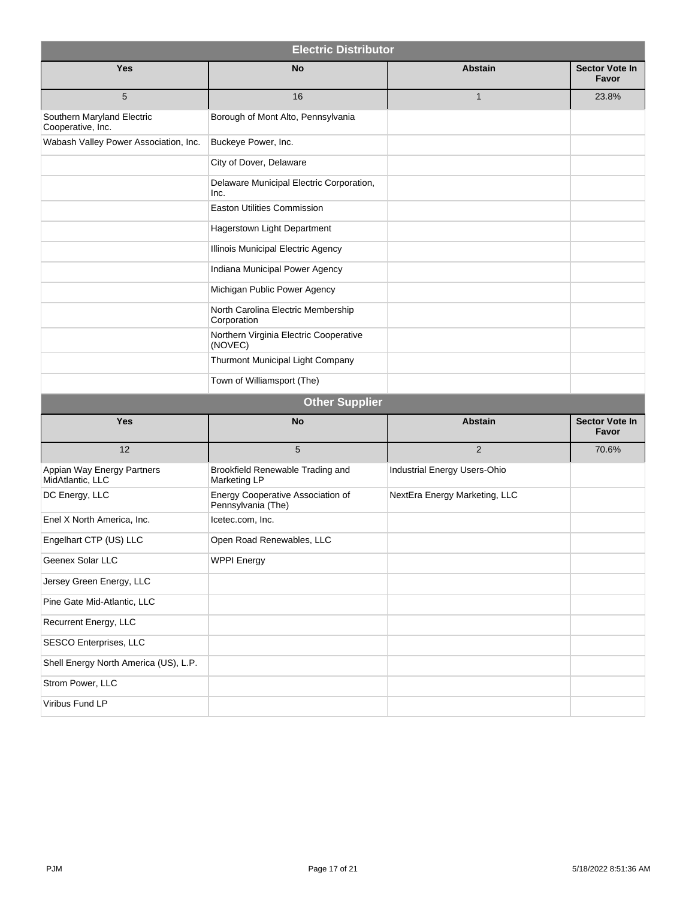| <b>Electric Distributor</b>                     |                                                         |                               |                                |  |  |  |  |  |
|-------------------------------------------------|---------------------------------------------------------|-------------------------------|--------------------------------|--|--|--|--|--|
| <b>Yes</b>                                      | <b>No</b>                                               | <b>Abstain</b>                | <b>Sector Vote In</b><br>Favor |  |  |  |  |  |
| 5                                               | 16                                                      | $\mathbf{1}$                  | 23.8%                          |  |  |  |  |  |
| Southern Maryland Electric<br>Cooperative, Inc. | Borough of Mont Alto, Pennsylvania                      |                               |                                |  |  |  |  |  |
| Wabash Valley Power Association, Inc.           | Buckeye Power, Inc.                                     |                               |                                |  |  |  |  |  |
|                                                 | City of Dover, Delaware                                 |                               |                                |  |  |  |  |  |
|                                                 | Delaware Municipal Electric Corporation,<br>Inc.        |                               |                                |  |  |  |  |  |
|                                                 | <b>Easton Utilities Commission</b>                      |                               |                                |  |  |  |  |  |
|                                                 | Hagerstown Light Department                             |                               |                                |  |  |  |  |  |
|                                                 | Illinois Municipal Electric Agency                      |                               |                                |  |  |  |  |  |
|                                                 | Indiana Municipal Power Agency                          |                               |                                |  |  |  |  |  |
|                                                 | Michigan Public Power Agency                            |                               |                                |  |  |  |  |  |
|                                                 | North Carolina Electric Membership<br>Corporation       |                               |                                |  |  |  |  |  |
|                                                 | Northern Virginia Electric Cooperative<br>(NOVEC)       |                               |                                |  |  |  |  |  |
|                                                 | Thurmont Municipal Light Company                        |                               |                                |  |  |  |  |  |
|                                                 | Town of Williamsport (The)                              |                               |                                |  |  |  |  |  |
|                                                 | <b>Other Supplier</b>                                   |                               |                                |  |  |  |  |  |
| <b>Yes</b>                                      | <b>No</b>                                               | <b>Abstain</b>                | Sector Vote In<br>Favor        |  |  |  |  |  |
| 12                                              | 5                                                       | $\overline{2}$                | 70.6%                          |  |  |  |  |  |
| Appian Way Energy Partners<br>MidAtlantic, LLC  | Brookfield Renewable Trading and<br>Marketing LP        | Industrial Energy Users-Ohio  |                                |  |  |  |  |  |
| DC Energy, LLC                                  | Energy Cooperative Association of<br>Pennsylvania (The) | NextEra Energy Marketing, LLC |                                |  |  |  |  |  |
| Enel X North America, Inc.                      | Icetec.com, Inc.                                        |                               |                                |  |  |  |  |  |
| Engelhart CTP (US) LLC                          | Open Road Renewables, LLC                               |                               |                                |  |  |  |  |  |
| Geenex Solar LLC                                | <b>WPPI Energy</b>                                      |                               |                                |  |  |  |  |  |
| Jersey Green Energy, LLC                        |                                                         |                               |                                |  |  |  |  |  |
| Pine Gate Mid-Atlantic, LLC                     |                                                         |                               |                                |  |  |  |  |  |
| Recurrent Energy, LLC                           |                                                         |                               |                                |  |  |  |  |  |
| SESCO Enterprises, LLC                          |                                                         |                               |                                |  |  |  |  |  |
| Shell Energy North America (US), L.P.           |                                                         |                               |                                |  |  |  |  |  |
| Strom Power, LLC                                |                                                         |                               |                                |  |  |  |  |  |
| Viribus Fund LP                                 |                                                         |                               |                                |  |  |  |  |  |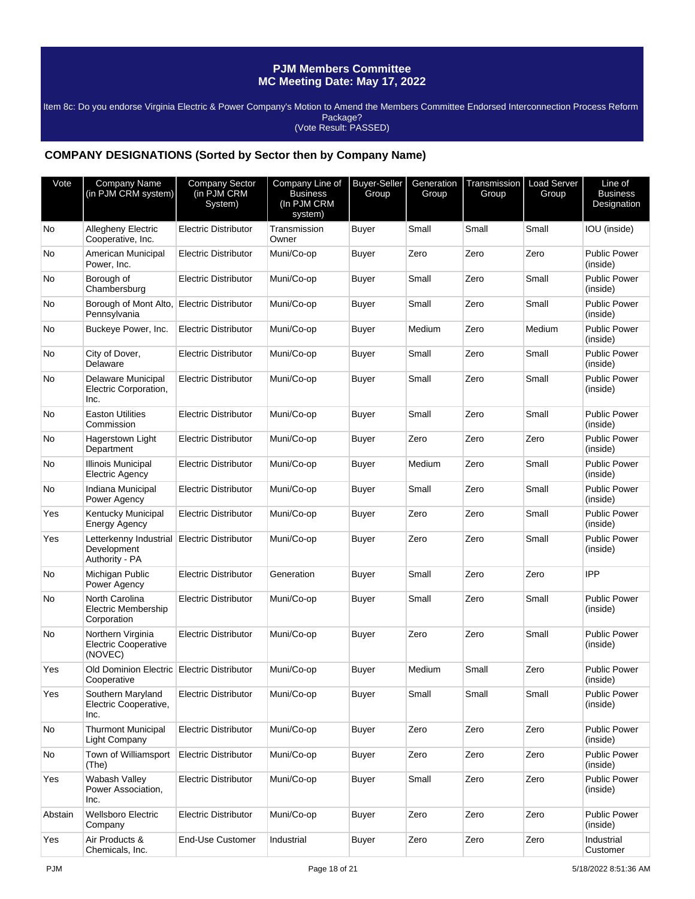Item 8c: Do you endorse Virginia Electric & Power Company's Motion to Amend the Members Committee Endorsed Interconnection Process Reform Package? (Vote Result: PASSED)

### **COMPANY DESIGNATIONS (Sorted by Sector then by Company Name)**

| Vote    | Company Name<br>(in PJM CRM system)                         | Company Sector<br>(in PJM CRM<br>System) | Company Line of<br><b>Business</b><br>(In PJM CRM<br>system) | <b>Buyer-Seller</b><br>Group | Generation<br>Group | Transmission<br>Group | Load Server<br>Group | Line of<br><b>Business</b><br>Designation |
|---------|-------------------------------------------------------------|------------------------------------------|--------------------------------------------------------------|------------------------------|---------------------|-----------------------|----------------------|-------------------------------------------|
| No      | Allegheny Electric<br>Cooperative, Inc.                     | <b>Electric Distributor</b>              | Transmission<br>Owner                                        | Buyer                        | Small               | Small                 | Small                | IOU (inside)                              |
| No      | American Municipal<br>Power, Inc.                           | <b>Electric Distributor</b>              | Muni/Co-op                                                   | Buyer                        | Zero                | Zero                  | Zero                 | <b>Public Power</b><br>(inside)           |
| No      | Borough of<br>Chambersburg                                  | Electric Distributor                     | Muni/Co-op                                                   | <b>Buyer</b>                 | Small               | Zero                  | Small                | <b>Public Power</b><br>(inside)           |
| No      | Borough of Mont Alto,<br>Pennsylvania                       | Electric Distributor                     | Muni/Co-op                                                   | Buyer                        | Small               | Zero                  | Small                | <b>Public Power</b><br>(inside)           |
| No      | Buckeye Power, Inc.                                         | <b>Electric Distributor</b>              | Muni/Co-op                                                   | Buyer                        | Medium              | Zero                  | Medium               | <b>Public Power</b><br>(inside)           |
| No      | City of Dover,<br>Delaware                                  | <b>Electric Distributor</b>              | Muni/Co-op                                                   | <b>Buyer</b>                 | Small               | Zero                  | Small                | <b>Public Power</b><br>(inside)           |
| No      | Delaware Municipal<br>Electric Corporation,<br>Inc.         | Electric Distributor                     | Muni/Co-op                                                   | Buyer                        | Small               | Zero                  | Small                | <b>Public Power</b><br>(inside)           |
| No      | <b>Easton Utilities</b><br>Commission                       | Electric Distributor                     | Muni/Co-op                                                   | <b>Buyer</b>                 | Small               | Zero                  | Small                | <b>Public Power</b><br>(inside)           |
| No      | Hagerstown Light<br>Department                              | Electric Distributor                     | Muni/Co-op                                                   | <b>Buyer</b>                 | Zero                | Zero                  | Zero                 | <b>Public Power</b><br>(inside)           |
| No      | <b>Illinois Municipal</b><br><b>Electric Agency</b>         | <b>Electric Distributor</b>              | Muni/Co-op                                                   | Buyer                        | Medium              | Zero                  | Small                | <b>Public Power</b><br>(inside)           |
| No      | Indiana Municipal<br>Power Agency                           | <b>Electric Distributor</b>              | Muni/Co-op                                                   | Buyer                        | Small               | Zero                  | Small                | <b>Public Power</b><br>(inside)           |
| Yes     | <b>Kentucky Municipal</b><br><b>Energy Agency</b>           | Electric Distributor                     | Muni/Co-op                                                   | <b>Buyer</b>                 | Zero                | Zero                  | Small                | <b>Public Power</b><br>(inside)           |
| Yes     | Letterkenny Industrial<br>Development<br>Authority - PA     | Electric Distributor                     | Muni/Co-op                                                   | Buyer                        | Zero                | Zero                  | Small                | <b>Public Power</b><br>(inside)           |
| No      | Michigan Public<br>Power Agency                             | <b>Electric Distributor</b>              | Generation                                                   | Buyer                        | Small               | Zero                  | Zero                 | <b>IPP</b>                                |
| No      | North Carolina<br><b>Electric Membership</b><br>Corporation | <b>Electric Distributor</b>              | Muni/Co-op                                                   | Buyer                        | Small               | Zero                  | Small                | <b>Public Power</b><br>(inside)           |
| No      | Northern Virginia<br><b>Electric Cooperative</b><br>(NOVEC) | <b>Electric Distributor</b>              | Muni/Co-op                                                   | <b>Buyer</b>                 | Zero                | Zero                  | Small                | <b>Public Power</b><br>(inside)           |
| Yes     | Old Dominion Electric Electric Distributor<br>Cooperative   |                                          | Muni/Co-op                                                   | <b>Buyer</b>                 | Medium              | Small                 | Zero                 | Public Power<br>(inside)                  |
| Yes     | Southern Maryland<br>Electric Cooperative,<br>Inc.          | <b>Electric Distributor</b>              | Muni/Co-op                                                   | <b>Buyer</b>                 | Small               | Small                 | Small                | <b>Public Power</b><br>(inside)           |
| No      | <b>Thurmont Municipal</b><br>Light Company                  | <b>Electric Distributor</b>              | Muni/Co-op                                                   | <b>Buyer</b>                 | Zero                | Zero                  | Zero                 | Public Power<br>(inside)                  |
| No      | Town of Williamsport<br>(The)                               | <b>Electric Distributor</b>              | Muni/Co-op                                                   | Buyer                        | Zero                | Zero                  | Zero                 | Public Power<br>(inside)                  |
| Yes     | Wabash Valley<br>Power Association,<br>Inc.                 | <b>Electric Distributor</b>              | Muni/Co-op                                                   | <b>Buyer</b>                 | Small               | Zero                  | Zero                 | Public Power<br>(inside)                  |
| Abstain | Wellsboro Electric<br>Company                               | <b>Electric Distributor</b>              | Muni/Co-op                                                   | Buyer                        | Zero                | Zero                  | Zero                 | Public Power<br>(inside)                  |
| Yes     | Air Products &<br>Chemicals, Inc.                           | End-Use Customer                         | Industrial                                                   | Buyer                        | Zero                | Zero                  | Zero                 | Industrial<br>Customer                    |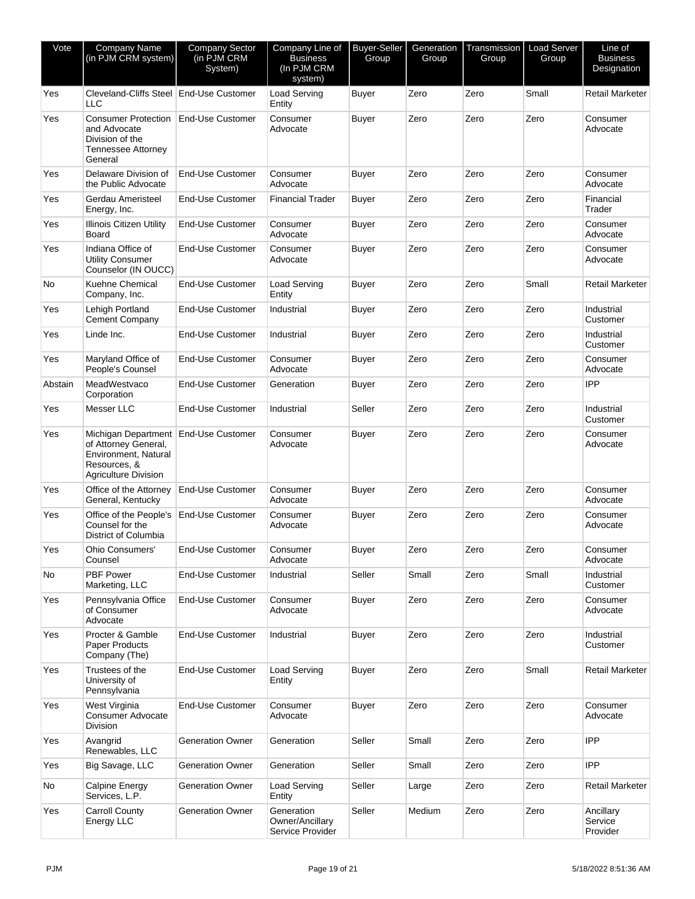| Vote    | Company Name<br>(in PJM CRM system)                                                                                          | <b>Company Sector</b><br>(in PJM CRM<br>System) | Company Line of<br><b>Business</b><br>(In PJM CRM<br>system) | <b>Buyer-Seller</b><br>Group | Generation<br>Group | Transmission<br>Group | <b>Load Server</b><br>Group | Line of<br><b>Business</b><br>Designation |
|---------|------------------------------------------------------------------------------------------------------------------------------|-------------------------------------------------|--------------------------------------------------------------|------------------------------|---------------------|-----------------------|-----------------------------|-------------------------------------------|
| Yes     | Cleveland-Cliffs Steel End-Use Customer<br><b>LLC</b>                                                                        |                                                 | Load Serving<br>Entity                                       | <b>Buyer</b>                 | Zero                | Zero                  | Small                       | Retail Marketer                           |
| Yes     | <b>Consumer Protection</b><br>and Advocate<br>Division of the<br>Tennessee Attorney<br>General                               | <b>End-Use Customer</b>                         | Consumer<br>Advocate                                         | <b>Buyer</b>                 | Zero                | Zero                  | Zero                        | Consumer<br>Advocate                      |
| Yes     | Delaware Division of<br>the Public Advocate                                                                                  | End-Use Customer                                | Consumer<br>Advocate                                         | <b>Buyer</b>                 | Zero                | Zero                  | Zero                        | Consumer<br>Advocate                      |
| Yes     | Gerdau Ameristeel<br>Energy, Inc.                                                                                            | <b>End-Use Customer</b>                         | <b>Financial Trader</b>                                      | Buyer                        | Zero                | Zero                  | Zero                        | Financial<br>Trader                       |
| Yes     | <b>Illinois Citizen Utility</b><br><b>Board</b>                                                                              | End-Use Customer                                | Consumer<br>Advocate                                         | <b>Buyer</b>                 | Zero                | Zero                  | Zero                        | Consumer<br>Advocate                      |
| Yes     | Indiana Office of<br><b>Utility Consumer</b><br>Counselor (IN OUCC)                                                          | <b>End-Use Customer</b>                         | Consumer<br>Advocate                                         | <b>Buyer</b>                 | Zero                | Zero                  | Zero                        | Consumer<br>Advocate                      |
| No      | Kuehne Chemical<br>Company, Inc.                                                                                             | <b>End-Use Customer</b>                         | Load Serving<br>Entity                                       | Buyer                        | Zero                | Zero                  | Small                       | Retail Marketer                           |
| Yes     | Lehigh Portland<br><b>Cement Company</b>                                                                                     | <b>End-Use Customer</b>                         | Industrial                                                   | Buyer                        | Zero                | Zero                  | Zero                        | Industrial<br>Customer                    |
| Yes     | Linde Inc.                                                                                                                   | <b>End-Use Customer</b>                         | Industrial                                                   | <b>Buyer</b>                 | Zero                | Zero                  | Zero                        | Industrial<br>Customer                    |
| Yes     | Maryland Office of<br>People's Counsel                                                                                       | End-Use Customer                                | Consumer<br>Advocate                                         | Buyer                        | Zero                | Zero                  | Zero                        | Consumer<br>Advocate                      |
| Abstain | MeadWestvaco<br>Corporation                                                                                                  | <b>End-Use Customer</b>                         | Generation                                                   | <b>Buyer</b>                 | Zero                | Zero                  | Zero                        | <b>IPP</b>                                |
| Yes     | Messer LLC                                                                                                                   | <b>End-Use Customer</b>                         | Industrial                                                   | Seller                       | Zero                | Zero                  | Zero                        | Industrial<br>Customer                    |
| Yes     | Michigan Department End-Use Customer<br>of Attorney General,<br>Environment, Natural<br>Resources, &<br>Agriculture Division |                                                 | Consumer<br>Advocate                                         | Buyer                        | Zero                | Zero                  | Zero                        | Consumer<br>Advocate                      |
| Yes     | Office of the Attorney<br>General, Kentucky                                                                                  | End-Use Customer                                | Consumer<br>Advocate                                         | Buyer                        | Zero                | Zero                  | Zero                        | Consumer<br>Advocate                      |
| Yes     | Office of the People's<br>Counsel for the<br>District of Columbia                                                            | <b>End-Use Customer</b>                         | Consumer<br>Advocate                                         | <b>Buyer</b>                 | Zero                | Zero                  | Zero                        | Consumer<br>Advocate                      |
| Yes     | Ohio Consumers'<br>Counsel                                                                                                   | End-Use Customer                                | Consumer<br>Advocate                                         | Buyer                        | Zero                | Zero                  | Zero                        | Consumer<br>Advocate                      |
| No      | <b>PBF Power</b><br>Marketing, LLC                                                                                           | <b>End-Use Customer</b>                         | Industrial                                                   | Seller                       | Small               | Zero                  | Small                       | Industrial<br>Customer                    |
| Yes     | Pennsylvania Office<br>of Consumer<br>Advocate                                                                               | <b>End-Use Customer</b>                         | Consumer<br>Advocate                                         | <b>Buyer</b>                 | Zero                | Zero                  | Zero                        | Consumer<br>Advocate                      |
| Yes     | Procter & Gamble<br>Paper Products<br>Company (The)                                                                          | <b>End-Use Customer</b>                         | Industrial                                                   | Buyer                        | Zero                | Zero                  | Zero                        | Industrial<br>Customer                    |
| Yes     | Trustees of the<br>University of<br>Pennsylvania                                                                             | End-Use Customer                                | <b>Load Serving</b><br>Entity                                | <b>Buyer</b>                 | Zero                | Zero                  | Small                       | Retail Marketer                           |
| Yes     | West Virginia<br><b>Consumer Advocate</b><br>Division                                                                        | End-Use Customer                                | Consumer<br>Advocate                                         | <b>Buyer</b>                 | Zero                | Zero                  | Zero                        | Consumer<br>Advocate                      |
| Yes     | Avangrid<br>Renewables, LLC                                                                                                  | <b>Generation Owner</b>                         | Generation                                                   | Seller                       | Small               | Zero                  | Zero                        | <b>IPP</b>                                |
| Yes     | Big Savage, LLC                                                                                                              | <b>Generation Owner</b>                         | Generation                                                   | Seller                       | Small               | Zero                  | Zero                        | <b>IPP</b>                                |
| No      | Calpine Energy<br>Services, L.P.                                                                                             | Generation Owner                                | Load Serving<br>Entity                                       | Seller                       | Large               | Zero                  | Zero                        | Retail Marketer                           |
| Yes     | <b>Carroll County</b><br>Energy LLC                                                                                          | <b>Generation Owner</b>                         | Generation<br>Owner/Ancillary<br>Service Provider            | Seller                       | Medium              | Zero                  | Zero                        | Ancillary<br>Service<br>Provider          |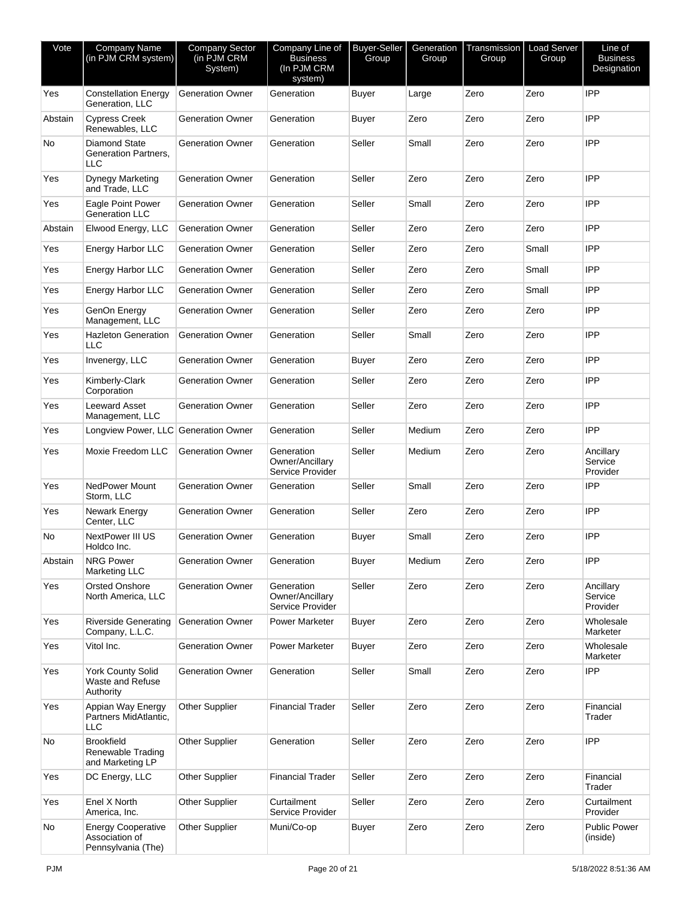| Vote    | <b>Company Name</b><br>(in PJM CRM system)                        | Company Sector<br>(in PJM CRM<br>System) | Company Line of<br><b>Business</b><br>(In PJM CRM<br>system) | <b>Buyer-Seller</b><br>Group | Generation<br>Group | Transmission<br>Group | <b>Load Server</b><br>Group | Line of<br><b>Business</b><br>Designation |
|---------|-------------------------------------------------------------------|------------------------------------------|--------------------------------------------------------------|------------------------------|---------------------|-----------------------|-----------------------------|-------------------------------------------|
| Yes     | <b>Constellation Energy</b><br>Generation, LLC                    | <b>Generation Owner</b>                  | Generation                                                   | Buyer                        | Large               | Zero                  | Zero                        | <b>IPP</b>                                |
| Abstain | <b>Cypress Creek</b><br>Renewables, LLC                           | <b>Generation Owner</b>                  | Generation                                                   | Buyer                        | Zero                | Zero                  | Zero                        | <b>IPP</b>                                |
| No      | <b>Diamond State</b><br>Generation Partners,<br><b>LLC</b>        | <b>Generation Owner</b>                  | Generation                                                   | Seller                       | Small               | Zero                  | Zero                        | <b>IPP</b>                                |
| Yes     | <b>Dynegy Marketing</b><br>and Trade, LLC                         | <b>Generation Owner</b>                  | Generation                                                   | Seller                       | Zero                | Zero                  | Zero                        | <b>IPP</b>                                |
| Yes     | Eagle Point Power<br><b>Generation LLC</b>                        | <b>Generation Owner</b>                  | Generation                                                   | Seller                       | Small               | Zero                  | Zero                        | <b>IPP</b>                                |
| Abstain | Elwood Energy, LLC                                                | <b>Generation Owner</b>                  | Generation                                                   | Seller                       | Zero                | Zero                  | Zero                        | <b>IPP</b>                                |
| Yes     | <b>Energy Harbor LLC</b>                                          | <b>Generation Owner</b>                  | Generation                                                   | Seller                       | Zero                | Zero                  | Small                       | <b>IPP</b>                                |
| Yes     | <b>Energy Harbor LLC</b>                                          | <b>Generation Owner</b>                  | Generation                                                   | Seller                       | Zero                | Zero                  | Small                       | <b>IPP</b>                                |
| Yes     | <b>Energy Harbor LLC</b>                                          | <b>Generation Owner</b>                  | Generation                                                   | Seller                       | Zero                | Zero                  | Small                       | <b>IPP</b>                                |
| Yes     | GenOn Energy<br>Management, LLC                                   | <b>Generation Owner</b>                  | Generation                                                   | Seller                       | Zero                | Zero                  | Zero                        | <b>IPP</b>                                |
| Yes     | <b>Hazleton Generation</b><br>LLC                                 | <b>Generation Owner</b>                  | Generation                                                   | Seller                       | Small               | Zero                  | Zero                        | <b>IPP</b>                                |
| Yes     | Invenergy, LLC                                                    | <b>Generation Owner</b>                  | Generation                                                   | Buyer                        | Zero                | Zero                  | Zero                        | <b>IPP</b>                                |
| Yes     | Kimberly-Clark<br>Corporation                                     | <b>Generation Owner</b>                  | Generation                                                   | Seller                       | Zero                | Zero                  | Zero                        | <b>IPP</b>                                |
| Yes     | <b>Leeward Asset</b><br>Management, LLC                           | <b>Generation Owner</b>                  | Generation                                                   | Seller                       | Zero                | Zero                  | Zero                        | <b>IPP</b>                                |
| Yes     | Longview Power, LLC Generation Owner                              |                                          | Generation                                                   | Seller                       | Medium              | Zero                  | Zero                        | <b>IPP</b>                                |
| Yes     | Moxie Freedom LLC                                                 | <b>Generation Owner</b>                  | Generation<br>Owner/Ancillary<br>Service Provider            | Seller                       | Medium              | Zero                  | Zero                        | Ancillary<br>Service<br>Provider          |
| Yes     | NedPower Mount<br>Storm, LLC                                      | <b>Generation Owner</b>                  | Generation                                                   | Seller                       | Small               | Zero                  | Zero                        | <b>IPP</b>                                |
| Yes     | Newark Energy<br>Center, LLC                                      | <b>Generation Owner</b>                  | Generation                                                   | Seller                       | Zero                | Zero                  | Zero                        | IPP                                       |
| No      | <b>NextPower III US</b><br>Holdco Inc.                            | <b>Generation Owner</b>                  | Generation                                                   | Buyer                        | Small               | Zero                  | Zero                        | <b>IPP</b>                                |
| Abstain | <b>NRG Power</b><br><b>Marketing LLC</b>                          | <b>Generation Owner</b>                  | Generation                                                   | Buyer                        | Medium              | Zero                  | Zero                        | <b>IPP</b>                                |
| Yes     | <b>Orsted Onshore</b><br>North America, LLC                       | <b>Generation Owner</b>                  | Generation<br>Owner/Ancillary<br>Service Provider            | Seller                       | Zero                | Zero                  | Zero                        | Ancillary<br>Service<br>Provider          |
| Yes     | <b>Riverside Generating</b><br>Company, L.L.C.                    | <b>Generation Owner</b>                  | Power Marketer                                               | Buyer                        | Zero                | Zero                  | Zero                        | Wholesale<br>Marketer                     |
| Yes     | Vitol Inc.                                                        | <b>Generation Owner</b>                  | Power Marketer                                               | Buyer                        | Zero                | Zero                  | Zero                        | Wholesale<br>Marketer                     |
| Yes     | <b>York County Solid</b><br>Waste and Refuse<br>Authority         | <b>Generation Owner</b>                  | Generation                                                   | Seller                       | Small               | Zero                  | Zero                        | <b>IPP</b>                                |
| Yes     | Appian Way Energy<br>Partners MidAtlantic,<br><b>LLC</b>          | Other Supplier                           | <b>Financial Trader</b>                                      | Seller                       | Zero                | Zero                  | Zero                        | Financial<br>Trader                       |
| No      | <b>Brookfield</b><br>Renewable Trading<br>and Marketing LP        | <b>Other Supplier</b>                    | Generation                                                   | Seller                       | Zero                | Zero                  | Zero                        | <b>IPP</b>                                |
| Yes     | DC Energy, LLC                                                    | Other Supplier                           | Financial Trader                                             | Seller                       | Zero                | Zero                  | Zero                        | Financial<br>Trader                       |
| Yes     | Enel X North<br>America, Inc.                                     | Other Supplier                           | Curtailment<br>Service Provider                              | Seller                       | Zero                | Zero                  | Zero                        | Curtailment<br>Provider                   |
| No      | <b>Energy Cooperative</b><br>Association of<br>Pennsylvania (The) | <b>Other Supplier</b>                    | Muni/Co-op                                                   | <b>Buyer</b>                 | Zero                | Zero                  | Zero                        | <b>Public Power</b><br>(inside)           |